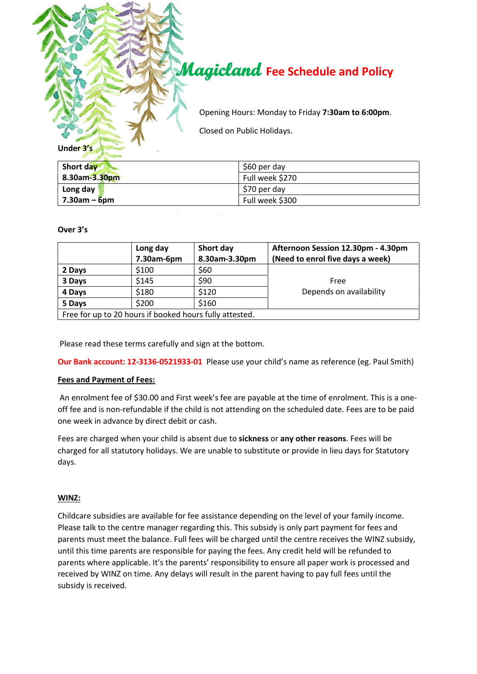

| Short day          | \$60 per day    |
|--------------------|-----------------|
| 8.30am-3.30pm      | Full week \$270 |
| Long day           | \$70 per day    |
| $7.30$ am – $6$ pm | Full week \$300 |

**Over 3's**

|                                                         | Long day   | Short day     | Afternoon Session 12.30pm - 4.30pm |  |
|---------------------------------------------------------|------------|---------------|------------------------------------|--|
|                                                         | 7.30am-6pm | 8.30am-3.30pm | (Need to enrol five days a week)   |  |
| 2 Days                                                  | \$100      | \$60          |                                    |  |
| 3 Days                                                  | \$145      | \$90          | Free                               |  |
| 4 Days                                                  | \$180      | \$120         | Depends on availability            |  |
| 5 Days                                                  | \$200      | \$160         |                                    |  |
| Free for up to 20 hours if booked hours fully attested. |            |               |                                    |  |

Please read these terms carefully and sign at the bottom.

**Our Bank account: 12-3136-0521933-01** Please use your child's name as reference (eg. Paul Smith)

# **Fees and Payment of Fees:**

An enrolment fee of \$30.00 and First week's fee are payable at the time of enrolment. This is a oneoff fee and is non-refundable if the child is not attending on the scheduled date. Fees are to be paid one week in advance by direct debit or cash.

Fees are charged when your child is absent due to **sickness** or **any other reasons**. Fees will be charged for all statutory holidays. We are unable to substitute or provide in lieu days for Statutory days.

# **WINZ:**

Childcare subsidies are available for fee assistance depending on the level of your family income. Please talk to the centre manager regarding this. This subsidy is only part payment for fees and parents must meet the balance. Full fees will be charged until the centre receives the WINZ subsidy, until this time parents are responsible for paying the fees. Any credit held will be refunded to parents where applicable. It's the parents' responsibility to ensure all paper work is processed and received by WINZ on time. Any delays will result in the parent having to pay full fees until the subsidy is received.